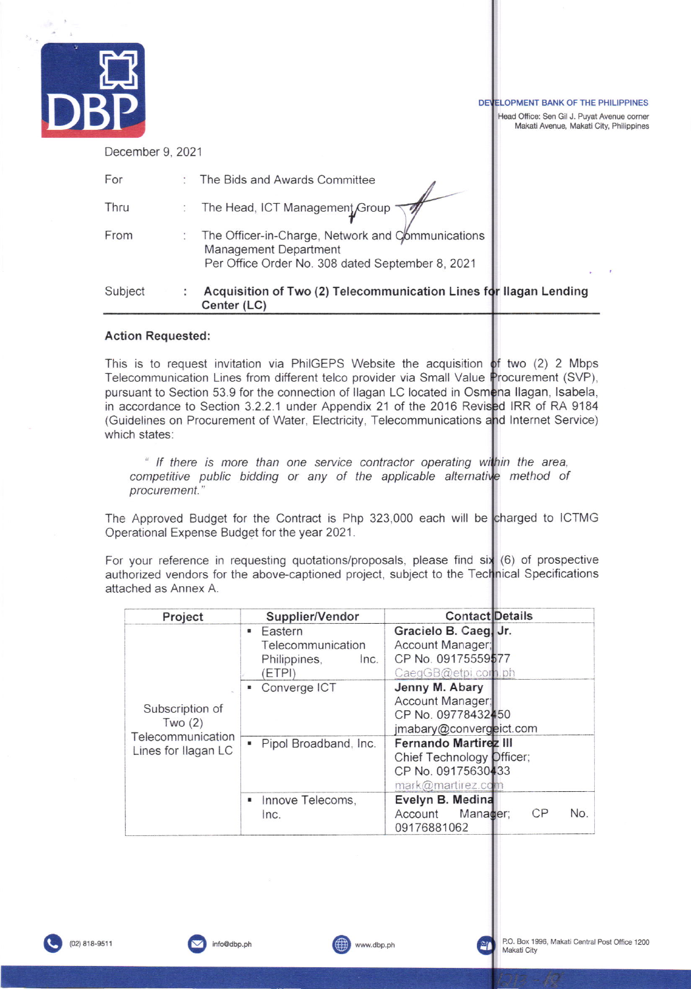|                  |                                                                                                                                | DEVELOPMENT BANK OF THE PHILIPPINES<br>Head Office: Sen Gil J. Puyat Avenue corner<br>Makati Avenue, Makati City, Philippines |
|------------------|--------------------------------------------------------------------------------------------------------------------------------|-------------------------------------------------------------------------------------------------------------------------------|
| December 9, 2021 |                                                                                                                                |                                                                                                                               |
| For              | The Bids and Awards Committee                                                                                                  |                                                                                                                               |
| Thru             | The Head, ICT Management Group                                                                                                 |                                                                                                                               |
| From             | The Officer-in-Charge, Network and Communications<br>Management Department<br>Per Office Order No. 308 dated September 8, 2021 |                                                                                                                               |
| Subject          | Acquisition of Two (2) Telecommunication Lines for Ilagan Lending<br>Center (LC)                                               |                                                                                                                               |

# **Action Requested:**

This is to request invitation via PhilGEPS Website the acquisition of two (2) 2 Mbps Telecommunication Lines from different telco provider via Small Value Procurement (SVP), pursuant to Section 53.9 for the connection of Ilagan LC located in Osmena Ilagan, Isabela, in accordance to Section 3.2.2.1 under Appendix 21 of the 2016 Revised IRR of RA 9184 (Guidelines on Procurement of Water, Electricity, Telecommunications and Internet Service) which states:

" If there is more than one service contractor operating within the area, competitive public bidding or any of the applicable alternative method of procurement."

The Approved Budget for the Contract is Php 323,000 each will be charged to ICTMG Operational Expense Budget for the year 2021.

For your reference in requesting quotations/proposals, please find six (6) of prospective authorized vendors for the above-captioned project, subject to the Technical Specifications attached as Annex A.

| Project                     | Supplier/Vendor                | <b>Contact Details</b>           |
|-----------------------------|--------------------------------|----------------------------------|
|                             | <b>Eastern</b>                 | Gracielo B. Caeg, Jr.            |
|                             | Telecommunication              | Account Manager;                 |
|                             | Philippines,<br>Inc.           | CP No. 09175559577               |
|                             | (ETPI)                         | CaegGB@etpi.com.ph               |
|                             | Converge ICT<br>$\blacksquare$ | Jenny M. Abary                   |
|                             |                                | Account Manager;                 |
| Subscription of             |                                | CP No. 09778432450               |
| Two(2)<br>Telecommunication |                                | jmabary@convergeict.com          |
|                             | Pipol Broadband, Inc.<br>۰     | <b>Fernando Martirez III</b>     |
| Lines for Ilagan LC         |                                | Chief Technology Difficer;       |
|                             |                                | CP No. 09175630433               |
|                             |                                | mark@martirez.com                |
|                             | Innove Telecoms,<br>я.         | Evelyn B. Medina                 |
|                             | Inc.                           | CP<br>No.<br>Manager;<br>Account |
|                             |                                | 09176881062                      |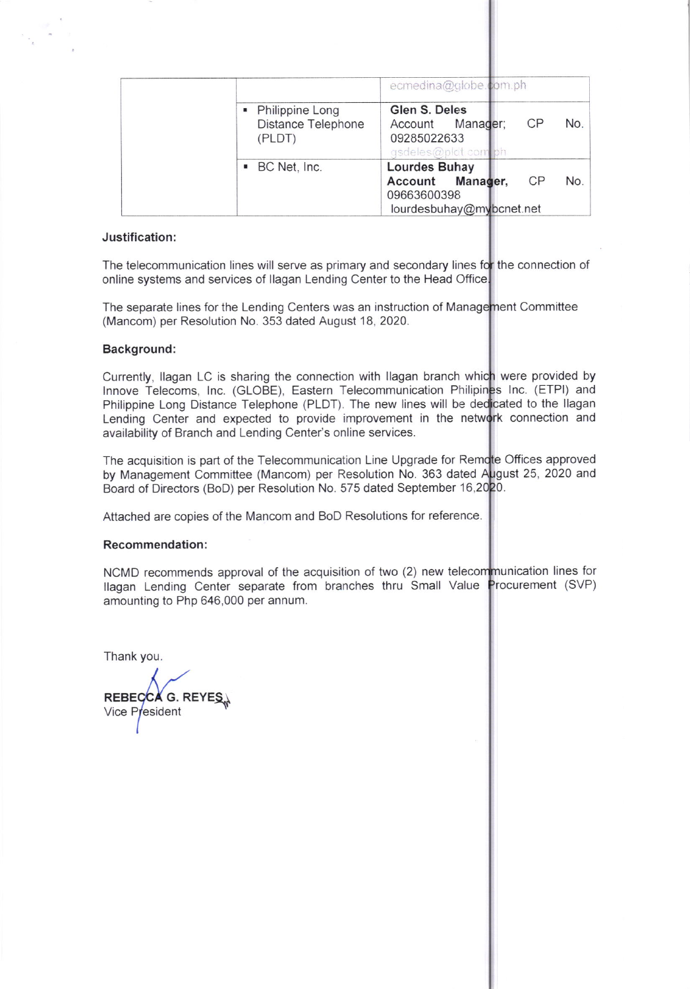|                                                   | ecmedina@globe.com.ph                                                              |     |  |
|---------------------------------------------------|------------------------------------------------------------------------------------|-----|--|
| • Philippine Long<br>Distance Telephone<br>(PLDT) | Glen S. Deles<br>CP<br>Manager;<br>Account<br>09285022633<br>asdeles@plat.com      | No. |  |
| • BC Net, Inc.                                    | Lourdes Buhay<br>CP<br>Account Manager,<br>09663600398<br>lourdesbuhay@mybcnet.net | No. |  |

## Justification:

The telecommunication lines will serve as primary and secondary lines for the connection of online systems and services of llagan Lending Center to the Head Office

The separate lines for the Lending Centers was an instruction of Management Committee (Mancom) per Resolution No. 353 dated August 18, 2020.

## Background:

Philippine Long Distance Telephone (PLDT). The new lines will be dedicated to the Ilagan Currently, Ilagan LC is sharing the connection with Ilagan branch which were provided by Innove Telecoms, Inc. (GLOBE), Eastern Telecommunication Philipines Inc. (ETPI) and Lending Center and expected to provide improvement in the network connection and availability of Branch and Lending Center's online services.

The acquisition is part of the Telecommunication Line Upgrade for Remote Offices approved by Management Committee (Mancom) per Resolution No. 363 dated August 25, 2020 and Board of Directors (BoD) per Resolution No. 575 dated September 16,2020.

Attached are copies of the Mancom and BoD Resolutions for reference.

#### Recommendation:

NCMD recommends approval of the acquisition of two (2) new telecommunication lines for llagan Lending Center separate from branches thru Small Value Procurement (SVP) amounting to Php 646,000 per annum.

Thank you.

REBE REBECCA G. REYES